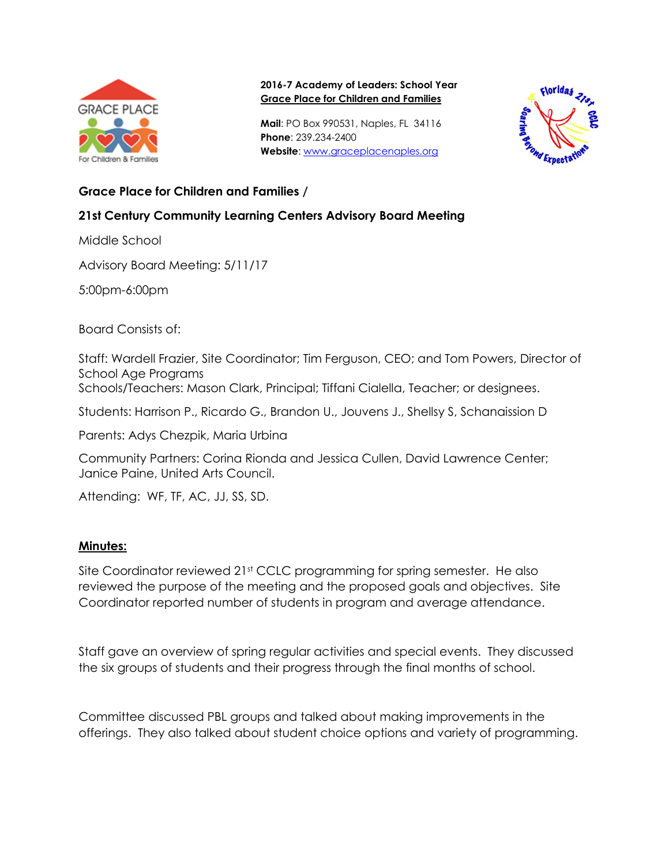

#### **2016-7 Academy of Leaders: School Year Grace Place for Children and Families**

**Mail**: PO Box 990531, Naples, FL 34116 **Phone**: 239.234-2400 **Website**: [www.graceplacenaples.org](http://www.graceplacenaples.org/)



## **Grace Place for Children and Families /**

# **21st Century Community Learning Centers Advisory Board Meeting**

Middle School

Advisory Board Meeting: 5/11/17

5:00pm-6:00pm

Board Consists of:

Staff: Wardell Frazier, Site Coordinator; Tim Ferguson, CEO; and Tom Powers, Director of School Age Programs

Schools/Teachers: Mason Clark, Principal; Tiffani Cialella, Teacher; or designees.

Students: Harrison P., Ricardo G., Brandon U., Jouvens J., Shellsy S, Schanaission D

Parents: Adys Chezpik, Maria Urbina

Community Partners: Corina Rionda and Jessica Cullen, David Lawrence Center; Janice Paine, United Arts Council.

Attending: WF, TF, AC, JJ, SS, SD.

### **Minutes:**

Site Coordinator reviewed 21st CCLC programming for spring semester. He also reviewed the purpose of the meeting and the proposed goals and objectives. Site Coordinator reported number of students in program and average attendance.

Staff gave an overview of spring regular activities and special events. They discussed the six groups of students and their progress through the final months of school.

Committee discussed PBL groups and talked about making improvements in the offerings. They also talked about student choice options and variety of programming.